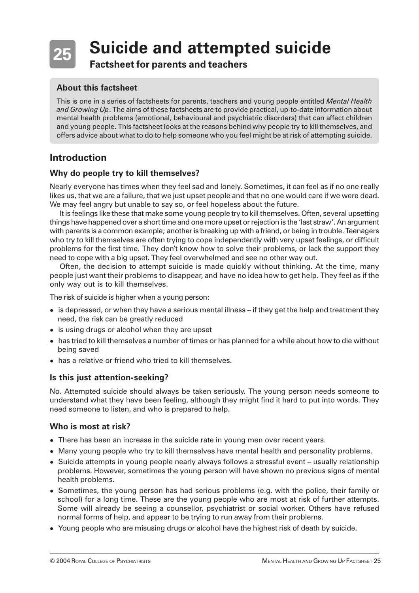

# **Suicide and attempted suicide 25**

# **Factsheet for parents and teachers**

## **About this factsheet**

This is one in a series of factsheets for parents, teachers and young people entitled *Mental Health and Growing Up*. The aims of these factsheets are to provide practical, up-to-date information about mental health problems (emotional, behavioural and psychiatric disorders) that can affect children and young people. This factsheet looks at the reasons behind why people try to kill themselves, and offers advice about what to do to help someone who you feel might be at risk of attempting suicide.

# **Introduction**

## **Why do people try to kill themselves?**

Nearly everyone has times when they feel sad and lonely. Sometimes, it can feel as if no one really likes us, that we are a failure, that we just upset people and that no one would care if we were dead. We may feel angry but unable to say so, or feel hopeless about the future.

It is feelings like these that make some young people try to kill themselves. Often, several upsetting things have happened over a short time and one more upset or rejection is the 'last straw'. An argument with parents is a common example; another is breaking up with a friend, or being in trouble. Teenagers who try to kill themselves are often trying to cope independently with very upset feelings, or difficult problems for the first time. They don't know how to solve their problems, or lack the support they need to cope with a big upset. They feel overwhelmed and see no other way out.

Often, the decision to attempt suicide is made quickly without thinking. At the time, many people just want their problems to disappear, and have no idea how to get help. They feel as if the only way out is to kill themselves.

The risk of suicide is higher when a young person:

- is depressed, or when they have a serious mental illness if they get the help and treatment they need, the risk can be greatly reduced
- is using drugs or alcohol when they are upset
- has tried to kill themselves a number of times or has planned for a while about how to die without being saved
- has a relative or friend who tried to kill themselves.

## **Is this just attention-seeking?**

No. Attempted suicide should always be taken seriously. The young person needs someone to understand what they have been feeling, although they might find it hard to put into words. They need someone to listen, and who is prepared to help.

#### **Who is most at risk?**

- There has been an increase in the suicide rate in young men over recent years.
- Many young people who try to kill themselves have mental health and personality problems.
- Suicide attempts in young people nearly always follows a stressful event usually relationship problems. However, sometimes the young person will have shown no previous signs of mental health problems.
- Sometimes, the young person has had serious problems (e.g. with the police, their family or school) for a long time. These are the young people who are most at risk of further attempts. Some will already be seeing a counsellor, psychiatrist or social worker. Others have refused normal forms of help, and appear to be trying to run away from their problems.
- Young people who are misusing drugs or alcohol have the highest risk of death by suicide.